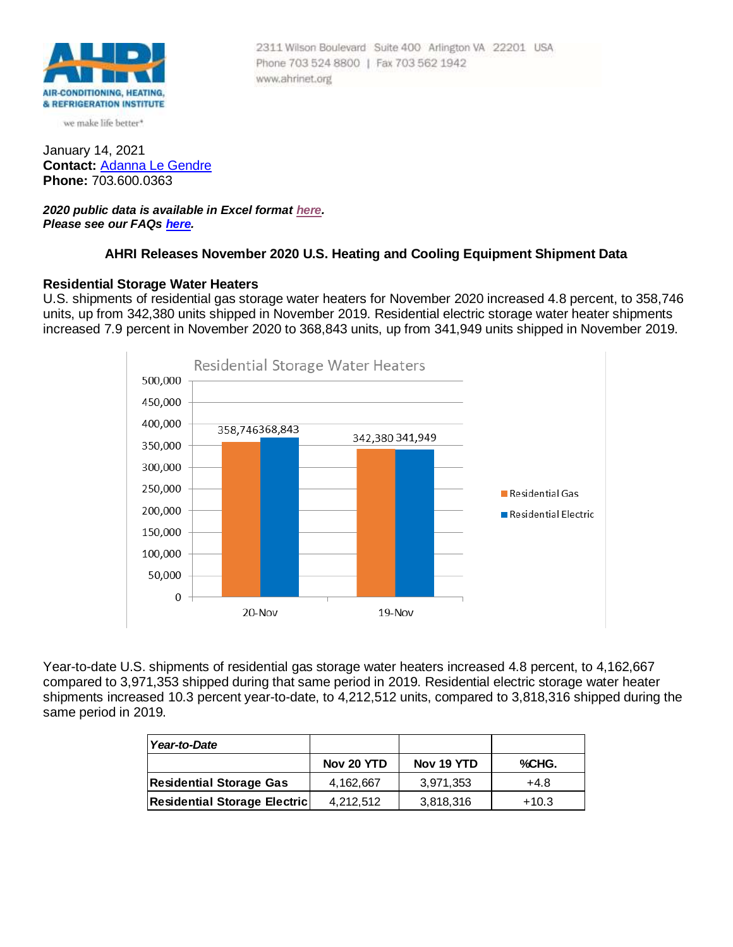

we make life better\*

January 14, 2021 **Contact:** [Adanna Le Gendre](mailto:AleGendre@ahrinet.org) **Phone:** 703.600.0363

*2020 public data is available in Excel format [here.](https://www.ahrinet.org/Portals/_Appleseed/documents/Stat_Release/November_2020.xls) Please see our FAQs [here.](#page-4-0)*

## **AHRI Releases November 2020 U.S. Heating and Cooling Equipment Shipment Data**

Phone 703 524 8800 | Fax 703 562 1942

www.ahrinet.org

2311 Wilson Boulevard Suite 400 Arlington VA 22201 USA

## **Residential Storage Water Heaters**

U.S. shipments of residential gas storage water heaters for November 2020 increased 4.8 percent, to 358,746 units, up from 342,380 units shipped in November 2019. Residential electric storage water heater shipments increased 7.9 percent in November 2020 to 368,843 units, up from 341,949 units shipped in November 2019.



Year-to-date U.S. shipments of residential gas storage water heaters increased 4.8 percent, to 4,162,667 compared to 3,971,353 shipped during that same period in 2019. Residential electric storage water heater shipments increased 10.3 percent year-to-date, to 4,212,512 units, compared to 3,818,316 shipped during the same period in 2019.

| Year-to-Date                        |            |            |         |
|-------------------------------------|------------|------------|---------|
|                                     | Nov 20 YTD | Nov 19 YTD | %CHG.   |
| <b>Residential Storage Gas</b>      | 4,162,667  | 3,971,353  | $+4.8$  |
| <b>Residential Storage Electric</b> | 4.212.512  | 3,818,316  | $+10.3$ |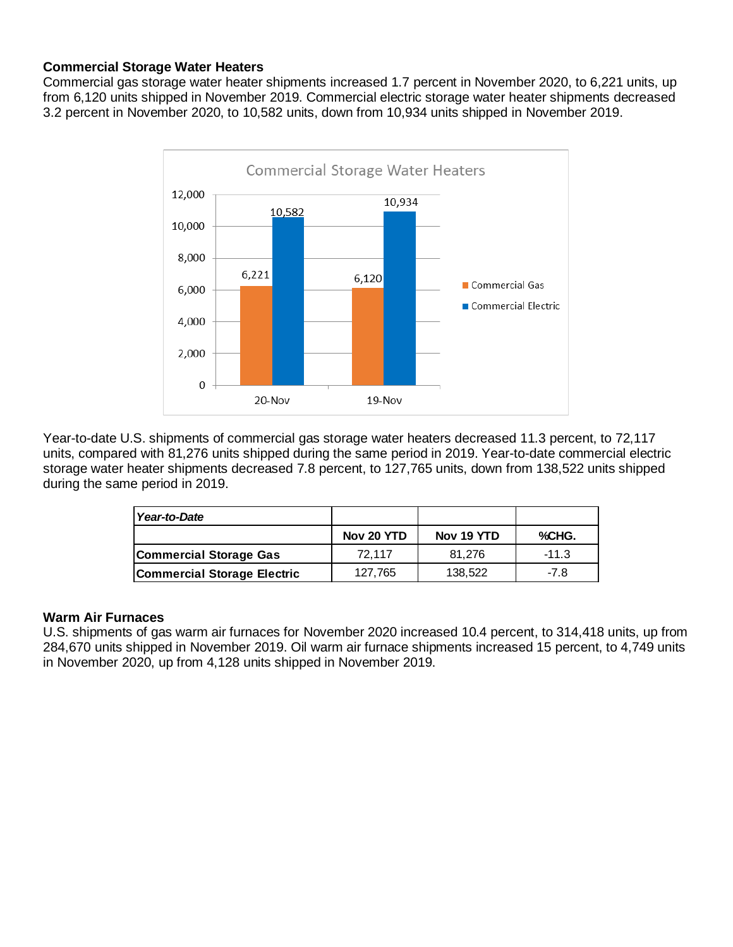# **Commercial Storage Water Heaters**

Commercial gas storage water heater shipments increased 1.7 percent in November 2020, to 6,221 units, up from 6,120 units shipped in November 2019. Commercial electric storage water heater shipments decreased 3.2 percent in November 2020, to 10,582 units, down from 10,934 units shipped in November 2019.



Year-to-date U.S. shipments of commercial gas storage water heaters decreased 11.3 percent, to 72,117 units, compared with 81,276 units shipped during the same period in 2019. Year-to-date commercial electric storage water heater shipments decreased 7.8 percent, to 127,765 units, down from 138,522 units shipped during the same period in 2019.

| Year-to-Date                       |            |            |         |
|------------------------------------|------------|------------|---------|
|                                    | Nov 20 YTD | Nov 19 YTD | %CHG.   |
| Commercial Storage Gas             | 72.117     | 81.276     | $-11.3$ |
| <b>Commercial Storage Electric</b> | 127,765    | 138,522    | $-7.8$  |

# **Warm Air Furnaces**

U.S. shipments of gas warm air furnaces for November 2020 increased 10.4 percent, to 314,418 units, up from 284,670 units shipped in November 2019. Oil warm air furnace shipments increased 15 percent, to 4,749 units in November 2020, up from 4,128 units shipped in November 2019.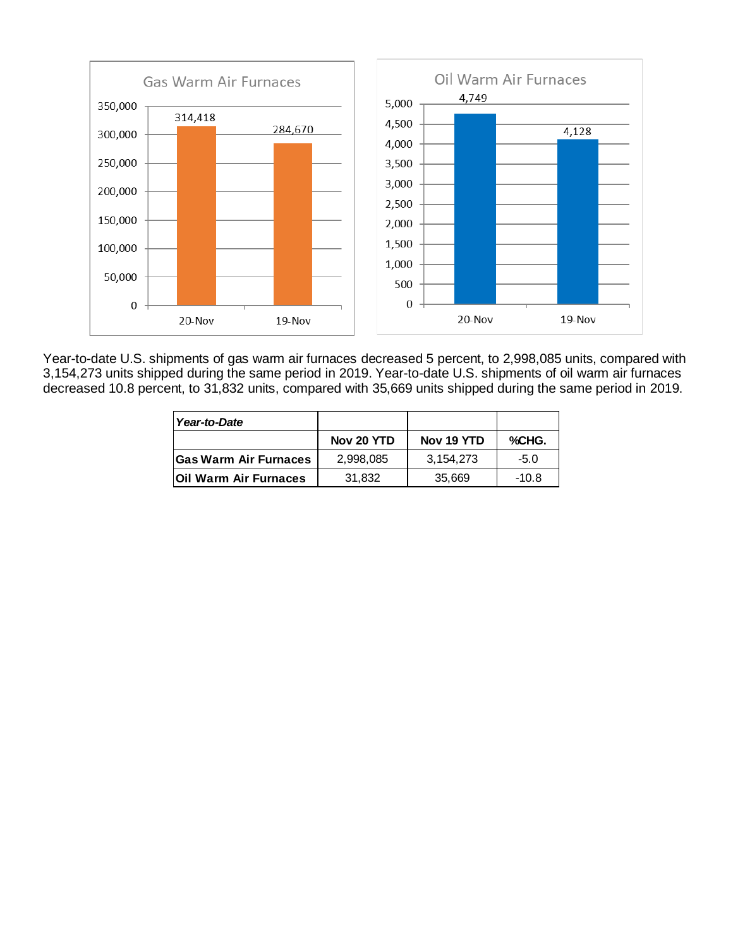

Year-to-date U.S. shipments of gas warm air furnaces decreased 5 percent, to 2,998,085 units, compared with 3,154,273 units shipped during the same period in 2019. Year-to-date U.S. shipments of oil warm air furnaces decreased 10.8 percent, to 31,832 units, compared with 35,669 units shipped during the same period in 2019.

| Year-to-Date                 |            |            |         |
|------------------------------|------------|------------|---------|
|                              | Nov 20 YTD | Nov 19 YTD | %CHG.   |
| <b>Gas Warm Air Furnaces</b> | 2,998,085  | 3.154.273  | $-5.0$  |
| lOil Warm Air Furnaces       | 31,832     | 35,669     | $-10.8$ |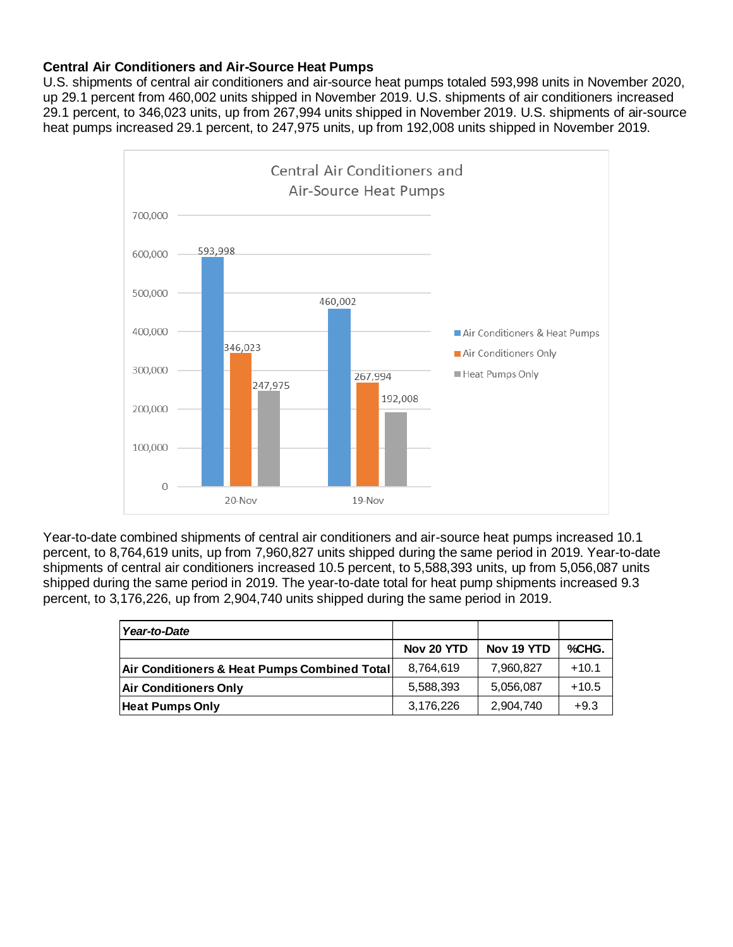# **Central Air Conditioners and Air-Source Heat Pumps**

U.S. shipments of central air conditioners and air-source heat pumps totaled 593,998 units in November 2020, up 29.1 percent from 460,002 units shipped in November 2019. U.S. shipments of air conditioners increased 29.1 percent, to 346,023 units, up from 267,994 units shipped in November 2019. U.S. shipments of air-source heat pumps increased 29.1 percent, to 247,975 units, up from 192,008 units shipped in November 2019.



Year-to-date combined shipments of central air conditioners and air-source heat pumps increased 10.1 percent, to 8,764,619 units, up from 7,960,827 units shipped during the same period in 2019. Year-to-date shipments of central air conditioners increased 10.5 percent, to 5,588,393 units, up from 5,056,087 units shipped during the same period in 2019. The year-to-date total for heat pump shipments increased 9.3 percent, to 3,176,226, up from 2,904,740 units shipped during the same period in 2019.

| Year-to-Date                                 |            |            |         |
|----------------------------------------------|------------|------------|---------|
|                                              | Nov 20 YTD | Nov 19 YTD | %CHG.   |
| Air Conditioners & Heat Pumps Combined Total | 8.764.619  | 7,960,827  | $+10.1$ |
| <b>Air Conditioners Only</b>                 | 5,588,393  | 5,056,087  | $+10.5$ |
| <b>Heat Pumps Only</b>                       | 3,176,226  | 2,904,740  | $+9.3$  |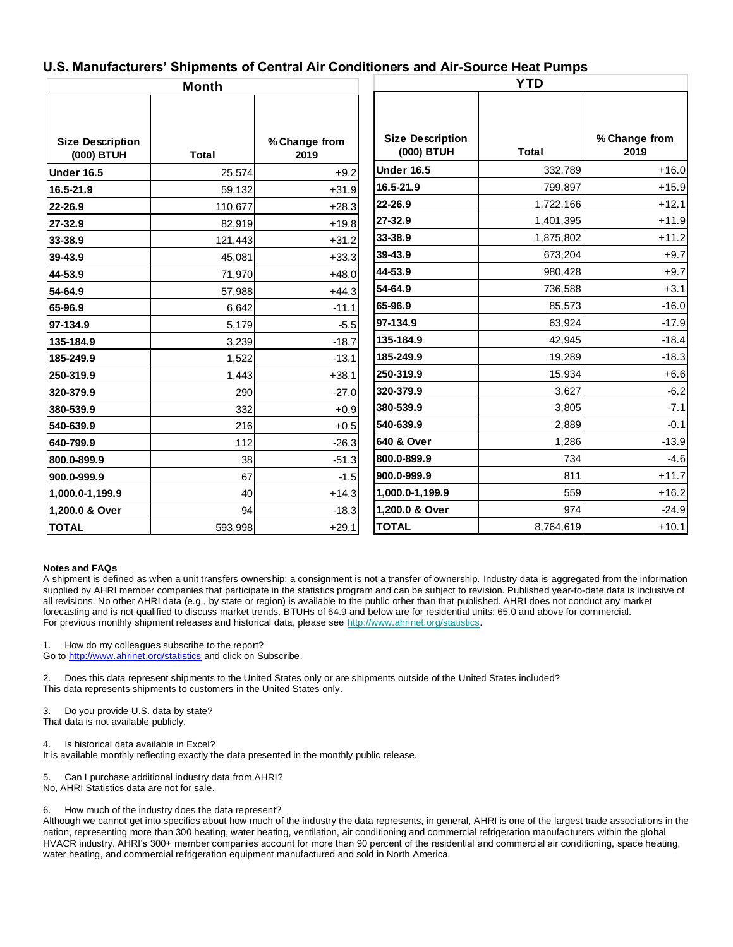## **U.S. Manufacturers' Shipments of Central Air Conditioners and Air-Source Heat Pumps**

| <b>Month</b>                          |              | <b>YTD</b>            |                                       |           |                       |
|---------------------------------------|--------------|-----------------------|---------------------------------------|-----------|-----------------------|
|                                       |              |                       |                                       |           |                       |
| <b>Size Description</b><br>(000) BTUH | <b>Total</b> | % Change from<br>2019 | <b>Size Description</b><br>(000) BTUH | Total     | % Change from<br>2019 |
| <b>Under 16.5</b>                     | 25,574       | $+9.2$                | <b>Under 16.5</b>                     | 332,789   | $+16.0$               |
| 16.5-21.9                             | 59,132       | $+31.9$               | 16.5-21.9                             | 799,897   | $+15.9$               |
| 22-26.9                               | 110,677      | $+28.3$               | 22-26.9                               | 1,722,166 | $+12.1$               |
| 27-32.9                               | 82,919       | $+19.8$               | 27-32.9                               | 1,401,395 | $+11.9$               |
| 33-38.9                               | 121,443      | $+31.2$               | 33-38.9                               | 1,875,802 | $+11.2$               |
| 39-43.9                               | 45,081       | $+33.3$               | 39-43.9                               | 673,204   | $+9.7$                |
| 44-53.9                               | 71,970       | $+48.0$               | 44-53.9                               | 980,428   | $+9.7$                |
| 54-64.9                               | 57,988       | $+44.3$               | 54-64.9                               | 736,588   | $+3.1$                |
| 65-96.9                               | 6,642        | $-11.1$               | 65-96.9                               | 85,573    | $-16.0$               |
| 97-134.9                              | 5,179        | $-5.5$                | 97-134.9                              | 63,924    | $-17.9$               |
| 135-184.9                             | 3,239        | $-18.7$               | 135-184.9                             | 42,945    | $-18.4$               |
| 185-249.9                             | 1,522        | $-13.1$               | 185-249.9                             | 19,289    | $-18.3$               |
| 250-319.9                             | 1,443        | $+38.1$               | 250-319.9                             | 15,934    | $+6.6$                |
| 320-379.9                             | 290          | $-27.0$               | 320-379.9                             | 3,627     | $-6.2$                |
| 380-539.9                             | 332          | $+0.9$                | 380-539.9                             | 3,805     | $-7.1$                |
| 540-639.9                             | 216          | $+0.5$                | 540-639.9                             | 2,889     | $-0.1$                |
| 640-799.9                             | 112          | $-26.3$               | 640 & Over                            | 1,286     | $-13.9$               |
| 800.0-899.9                           | 38           | $-51.3$               | 800.0-899.9                           | 734       | $-4.6$                |
| 900.0-999.9                           | 67           | $-1.5$                | 900.0-999.9                           | 811       | $+11.7$               |
| 1,000.0-1,199.9                       | 40           | $+14.3$               | 1,000.0-1,199.9                       | 559       | $+16.2$               |
| 1,200.0 & Over                        | 94           | $-18.3$               | 1,200.0 & Over                        | 974       | $-24.9$               |
| <b>TOTAL</b>                          | 593,998      | $+29.1$               | <b>TOTAL</b>                          | 8,764,619 | $+10.1$               |

#### <span id="page-4-0"></span>**Notes and FAQs**

A shipment is defined as when a unit transfers ownership; a consignment is not a transfer of ownership. Industry data is aggregated from the information supplied by AHRI member companies that participate in the statistics program and can be subject to revision. Published year-to-date data is inclusive of all revisions. No other AHRI data (e.g., by state or region) is available to the public other than that published. AHRI does not conduct any market forecasting and is not qualified to discuss market trends. BTUHs of 64.9 and below are for residential units; 65.0 and above for commercial. For previous monthly shipment releases and historical data, please see [http://www.ahrinet.org/statistics.](http://www.ahrinet.org/statistics)

1. How do my colleagues subscribe to the report?

Go to<http://www.ahrinet.org/statistics> and click on Subscribe.

2. Does this data represent shipments to the United States only or are shipments outside of the United States included? This data represents shipments to customers in the United States only.

3. Do you provide U.S. data by state?

That data is not available publicly.

Is historical data available in Excel?

It is available monthly reflecting exactly the data presented in the monthly public release.

5. Can I purchase additional industry data from AHRI?

No, AHRI Statistics data are not for sale.

6. How much of the industry does the data represent?

Although we cannot get into specifics about how much of the industry the data represents, in general, AHRI is one of the largest trade associations in the nation, representing more than 300 heating, water heating, ventilation, air conditioning and commercial refrigeration manufacturers within the global HVACR industry. AHRI's 300+ member companies account for more than 90 percent of the residential and commercial air conditioning, space heating, water heating, and commercial refrigeration equipment manufactured and sold in North America.